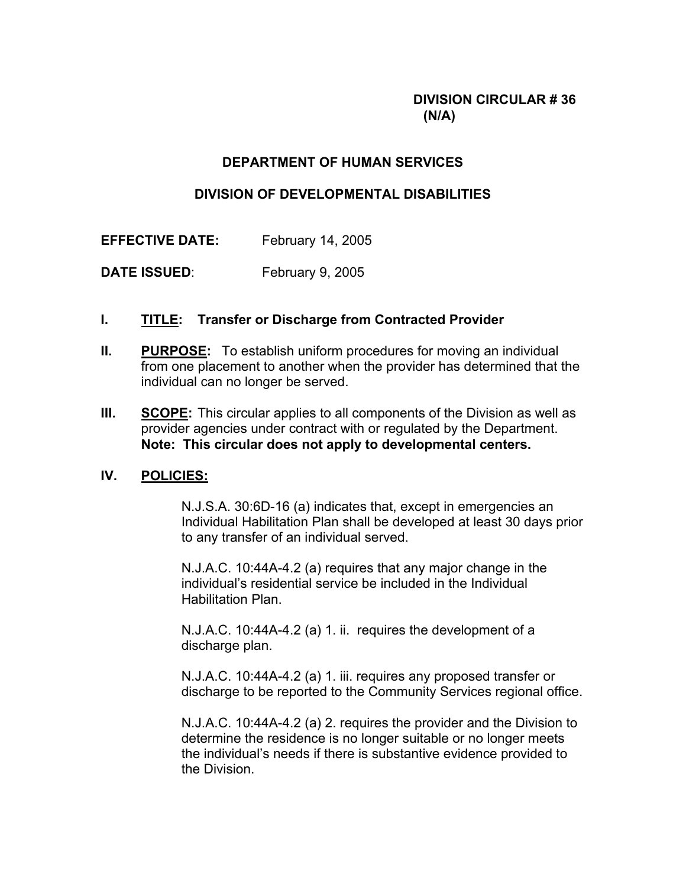# **DIVISION CIRCULAR # 36 (N/A)**

## **DEPARTMENT OF HUMAN SERVICES**

#### **DIVISION OF DEVELOPMENTAL DISABILITIES**

**EFFECTIVE DATE:** February 14, 2005

**DATE ISSUED:** February 9, 2005

### **I. TITLE: Transfer or Discharge from Contracted Provider**

- **II. PURPOSE:** To establish uniform procedures for moving an individual from one placement to another when the provider has determined that the individual can no longer be served.
- **III. SCOPE:** This circular applies to all components of the Division as well as provider agencies under contract with or regulated by the Department. **Note: This circular does not apply to developmental centers.**

# **IV. POLICIES:**

 N.J.S.A. 30:6D-16 (a) indicates that, except in emergencies an Individual Habilitation Plan shall be developed at least 30 days prior to any transfer of an individual served.

 N.J.A.C. 10:44A-4.2 (a) requires that any major change in the individual's residential service be included in the Individual Habilitation Plan.

 N.J.A.C. 10:44A-4.2 (a) 1. ii. requires the development of a discharge plan.

 N.J.A.C. 10:44A-4.2 (a) 1. iii. requires any proposed transfer or discharge to be reported to the Community Services regional office.

 N.J.A.C. 10:44A-4.2 (a) 2. requires the provider and the Division to determine the residence is no longer suitable or no longer meets the individual's needs if there is substantive evidence provided to the Division.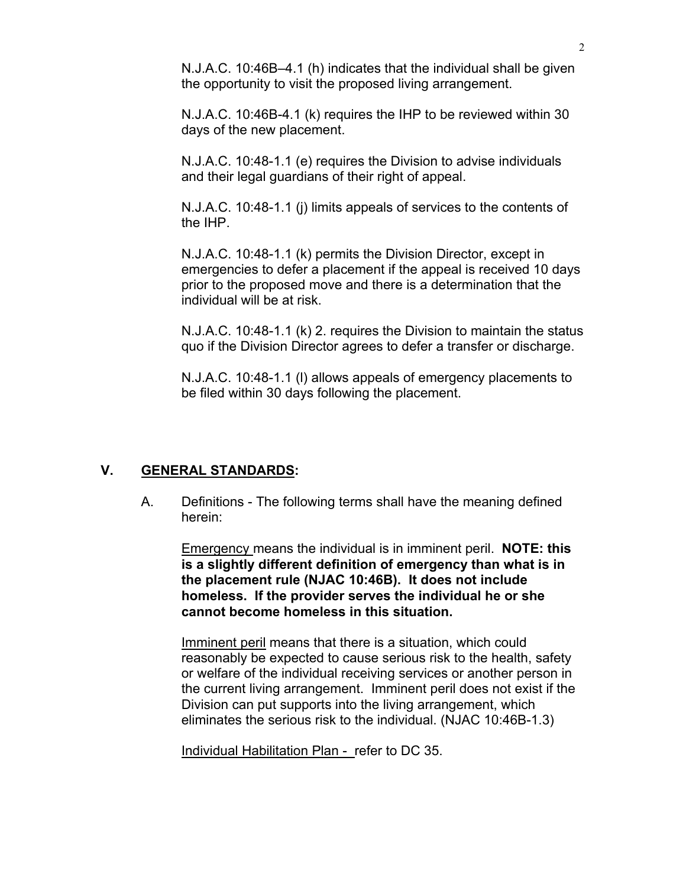N.J.A.C. 10:46B–4.1 (h) indicates that the individual shall be given the opportunity to visit the proposed living arrangement.

 N.J.A.C. 10:46B-4.1 (k) requires the IHP to be reviewed within 30 days of the new placement.

 N.J.A.C. 10:48-1.1 (e) requires the Division to advise individuals and their legal guardians of their right of appeal.

 N.J.A.C. 10:48-1.1 (j) limits appeals of services to the contents of the IHP.

 N.J.A.C. 10:48-1.1 (k) permits the Division Director, except in emergencies to defer a placement if the appeal is received 10 days prior to the proposed move and there is a determination that the individual will be at risk.

 N.J.A.C. 10:48-1.1 (k) 2. requires the Division to maintain the status quo if the Division Director agrees to defer a transfer or discharge.

 N.J.A.C. 10:48-1.1 (l) allows appeals of emergency placements to be filed within 30 days following the placement.

#### **V. GENERAL STANDARDS:**

 A. Definitions - The following terms shall have the meaning defined herein:

 Emergency means the individual is in imminent peril. **NOTE: this is a slightly different definition of emergency than what is in the placement rule (NJAC 10:46B). It does not include homeless. If the provider serves the individual he or she cannot become homeless in this situation.** 

 Imminent peril means that there is a situation, which could reasonably be expected to cause serious risk to the health, safety or welfare of the individual receiving services or another person in the current living arrangement. Imminent peril does not exist if the Division can put supports into the living arrangement, which eliminates the serious risk to the individual. (NJAC 10:46B-1.3)

Individual Habilitation Plan - refer to DC 35.